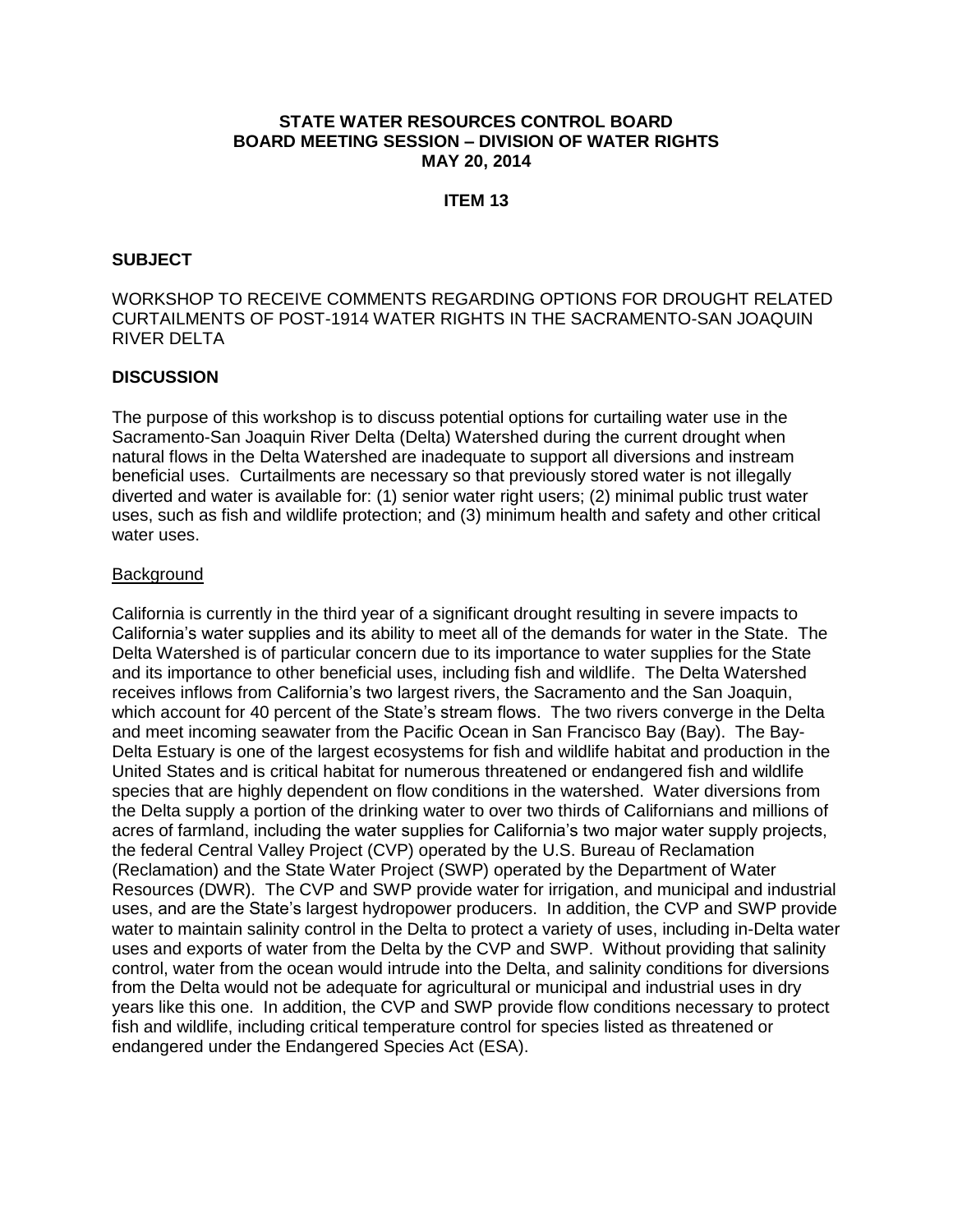#### **STATE WATER RESOURCES CONTROL BOARD BOARD MEETING SESSION – DIVISION OF WATER RIGHTS MAY 20, 2014**

# **ITEM 13**

#### **SUBJECT**

# WORKSHOP TO RECEIVE COMMENTS REGARDING OPTIONS FOR DROUGHT RELATED CURTAILMENTS OF POST-1914 WATER RIGHTS IN THE SACRAMENTO-SAN JOAQUIN RIVER DELTA

#### **DISCUSSION**

The purpose of this workshop is to discuss potential options for curtailing water use in the Sacramento-San Joaquin River Delta (Delta) Watershed during the current drought when natural flows in the Delta Watershed are inadequate to support all diversions and instream beneficial uses. Curtailments are necessary so that previously stored water is not illegally diverted and water is available for: (1) senior water right users; (2) minimal public trust water uses, such as fish and wildlife protection; and (3) minimum health and safety and other critical water uses.

#### Background

California is currently in the third year of a significant drought resulting in severe impacts to California's water supplies and its ability to meet all of the demands for water in the State. The Delta Watershed is of particular concern due to its importance to water supplies for the State and its importance to other beneficial uses, including fish and wildlife. The Delta Watershed receives inflows from California's two largest rivers, the Sacramento and the San Joaquin, which account for 40 percent of the State's stream flows. The two rivers converge in the Delta and meet incoming seawater from the Pacific Ocean in San Francisco Bay (Bay). The Bay-Delta Estuary is one of the largest ecosystems for fish and wildlife habitat and production in the United States and is critical habitat for numerous threatened or endangered fish and wildlife species that are highly dependent on flow conditions in the watershed. Water diversions from the Delta supply a portion of the drinking water to over two thirds of Californians and millions of acres of farmland, including the water supplies for California's two major water supply projects, the federal Central Valley Project (CVP) operated by the U.S. Bureau of Reclamation (Reclamation) and the State Water Project (SWP) operated by the Department of Water Resources (DWR). The CVP and SWP provide water for irrigation, and municipal and industrial uses, and are the State's largest hydropower producers. In addition, the CVP and SWP provide water to maintain salinity control in the Delta to protect a variety of uses, including in-Delta water uses and exports of water from the Delta by the CVP and SWP. Without providing that salinity control, water from the ocean would intrude into the Delta, and salinity conditions for diversions from the Delta would not be adequate for agricultural or municipal and industrial uses in dry years like this one. In addition, the CVP and SWP provide flow conditions necessary to protect fish and wildlife, including critical temperature control for species listed as threatened or endangered under the Endangered Species Act (ESA).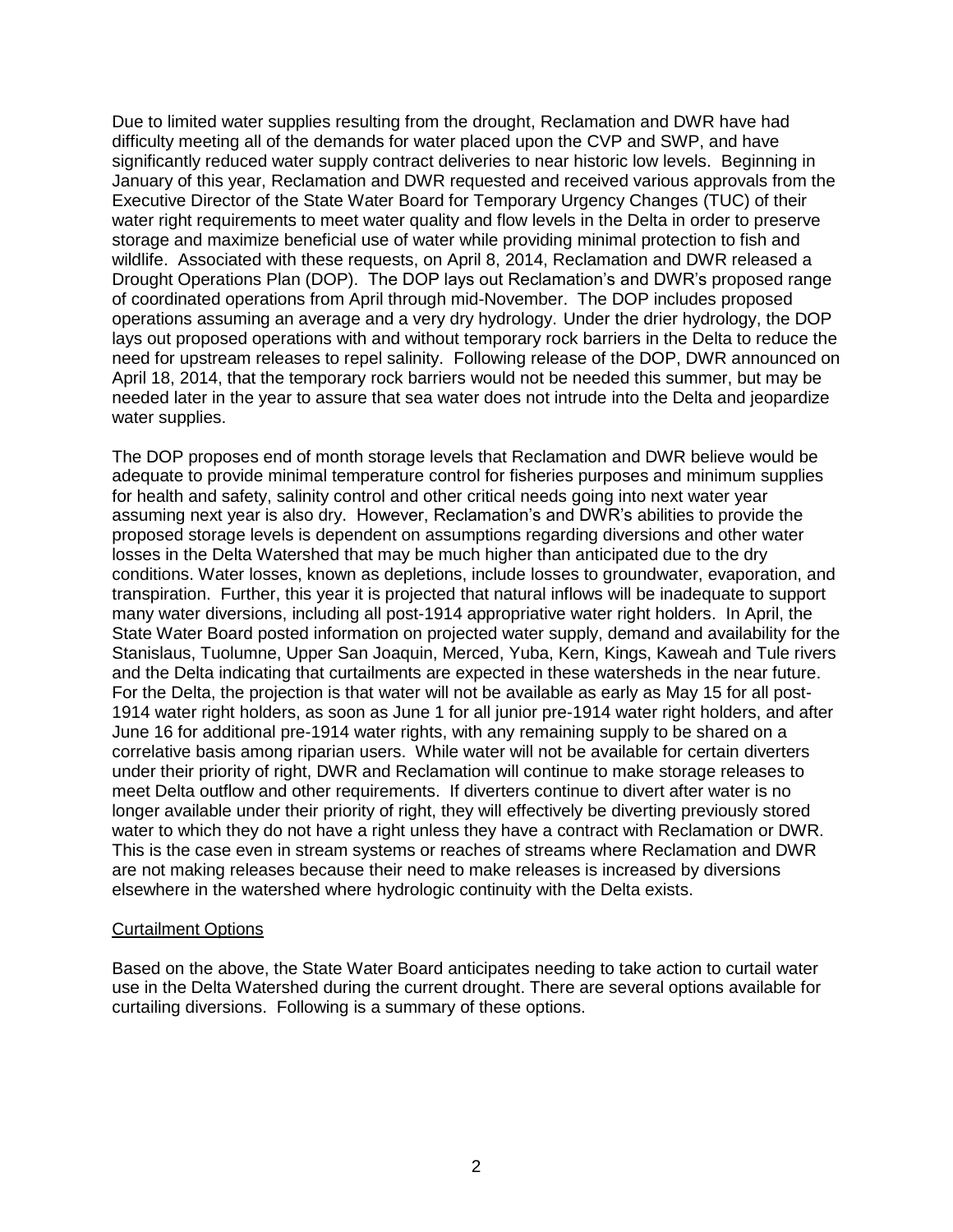Due to limited water supplies resulting from the drought, Reclamation and DWR have had difficulty meeting all of the demands for water placed upon the CVP and SWP, and have significantly reduced water supply contract deliveries to near historic low levels. Beginning in January of this year, Reclamation and DWR requested and received various approvals from the Executive Director of the State Water Board for Temporary Urgency Changes (TUC) of their water right requirements to meet water quality and flow levels in the Delta in order to preserve storage and maximize beneficial use of water while providing minimal protection to fish and wildlife. Associated with these requests, on April 8, 2014, Reclamation and DWR released a Drought Operations Plan (DOP). The DOP lays out Reclamation's and DWR's proposed range of coordinated operations from April through mid-November. The DOP includes proposed operations assuming an average and a very dry hydrology. Under the drier hydrology, the DOP lays out proposed operations with and without temporary rock barriers in the Delta to reduce the need for upstream releases to repel salinity. Following release of the DOP, DWR announced on April 18, 2014, that the temporary rock barriers would not be needed this summer, but may be needed later in the year to assure that sea water does not intrude into the Delta and jeopardize water supplies.

The DOP proposes end of month storage levels that Reclamation and DWR believe would be adequate to provide minimal temperature control for fisheries purposes and minimum supplies for health and safety, salinity control and other critical needs going into next water year assuming next year is also dry. However, Reclamation's and DWR's abilities to provide the proposed storage levels is dependent on assumptions regarding diversions and other water losses in the Delta Watershed that may be much higher than anticipated due to the dry conditions. Water losses, known as depletions, include losses to groundwater, evaporation, and transpiration. Further, this year it is projected that natural inflows will be inadequate to support many water diversions, including all post-1914 appropriative water right holders. In April, the State Water Board posted information on projected water supply, demand and availability for the Stanislaus, Tuolumne, Upper San Joaquin, Merced, Yuba, Kern, Kings, Kaweah and Tule rivers and the Delta indicating that curtailments are expected in these watersheds in the near future. For the Delta, the projection is that water will not be available as early as May 15 for all post-1914 water right holders, as soon as June 1 for all junior pre-1914 water right holders, and after June 16 for additional pre-1914 water rights, with any remaining supply to be shared on a correlative basis among riparian users. While water will not be available for certain diverters under their priority of right, DWR and Reclamation will continue to make storage releases to meet Delta outflow and other requirements. If diverters continue to divert after water is no longer available under their priority of right, they will effectively be diverting previously stored water to which they do not have a right unless they have a contract with Reclamation or DWR. This is the case even in stream systems or reaches of streams where Reclamation and DWR are not making releases because their need to make releases is increased by diversions elsewhere in the watershed where hydrologic continuity with the Delta exists.

#### Curtailment Options

Based on the above, the State Water Board anticipates needing to take action to curtail water use in the Delta Watershed during the current drought. There are several options available for curtailing diversions. Following is a summary of these options.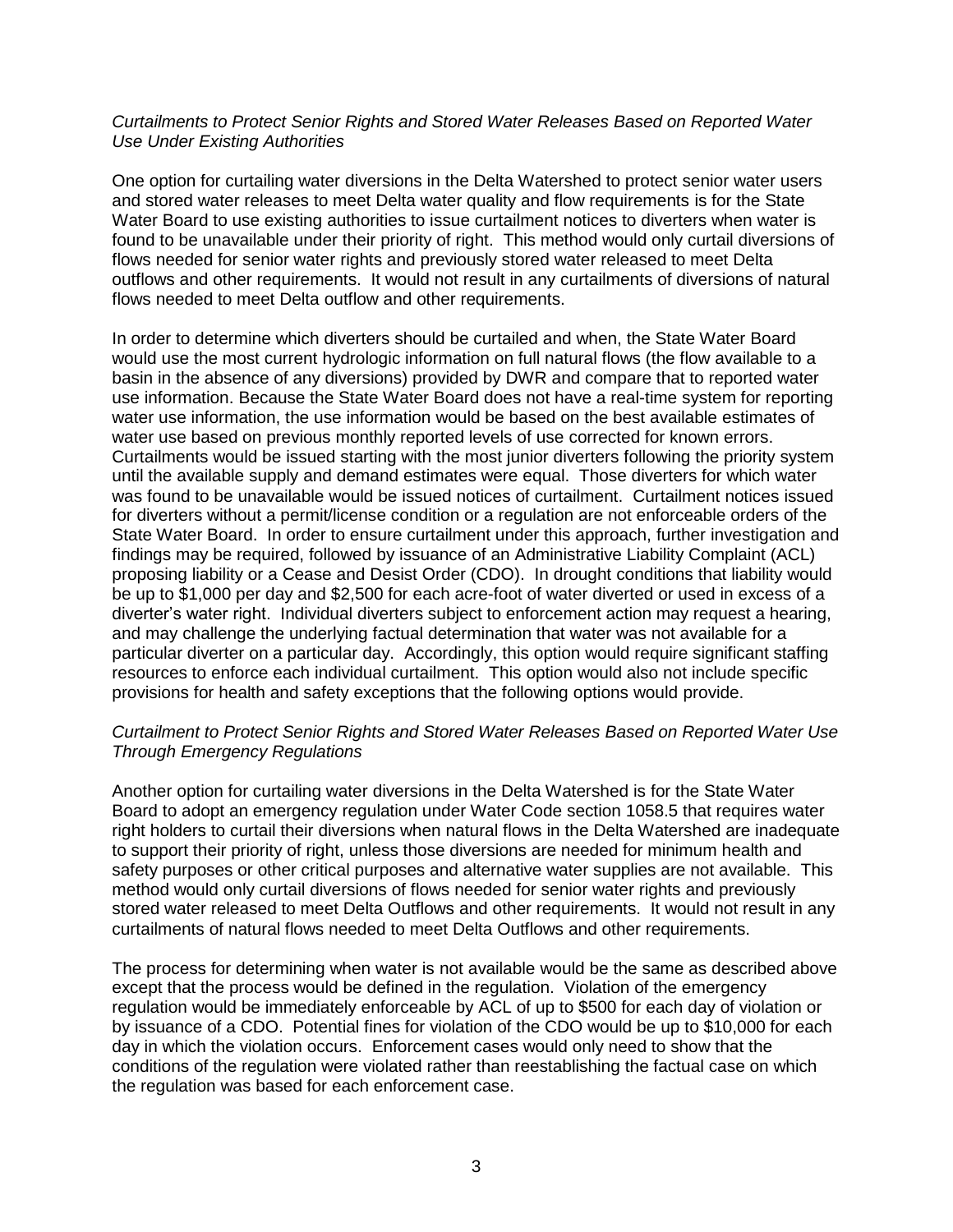#### *Curtailments to Protect Senior Rights and Stored Water Releases Based on Reported Water Use Under Existing Authorities*

One option for curtailing water diversions in the Delta Watershed to protect senior water users and stored water releases to meet Delta water quality and flow requirements is for the State Water Board to use existing authorities to issue curtailment notices to diverters when water is found to be unavailable under their priority of right. This method would only curtail diversions of flows needed for senior water rights and previously stored water released to meet Delta outflows and other requirements. It would not result in any curtailments of diversions of natural flows needed to meet Delta outflow and other requirements.

In order to determine which diverters should be curtailed and when, the State Water Board would use the most current hydrologic information on full natural flows (the flow available to a basin in the absence of any diversions) provided by DWR and compare that to reported water use information. Because the State Water Board does not have a real-time system for reporting water use information, the use information would be based on the best available estimates of water use based on previous monthly reported levels of use corrected for known errors. Curtailments would be issued starting with the most junior diverters following the priority system until the available supply and demand estimates were equal. Those diverters for which water was found to be unavailable would be issued notices of curtailment. Curtailment notices issued for diverters without a permit/license condition or a regulation are not enforceable orders of the State Water Board. In order to ensure curtailment under this approach, further investigation and findings may be required, followed by issuance of an Administrative Liability Complaint (ACL) proposing liability or a Cease and Desist Order (CDO). In drought conditions that liability would be up to \$1,000 per day and \$2,500 for each acre-foot of water diverted or used in excess of a diverter's water right. Individual diverters subject to enforcement action may request a hearing, and may challenge the underlying factual determination that water was not available for a particular diverter on a particular day. Accordingly, this option would require significant staffing resources to enforce each individual curtailment. This option would also not include specific provisions for health and safety exceptions that the following options would provide.

## *Curtailment to Protect Senior Rights and Stored Water Releases Based on Reported Water Use Through Emergency Regulations*

Another option for curtailing water diversions in the Delta Watershed is for the State Water Board to adopt an emergency regulation under Water Code section 1058.5 that requires water right holders to curtail their diversions when natural flows in the Delta Watershed are inadequate to support their priority of right, unless those diversions are needed for minimum health and safety purposes or other critical purposes and alternative water supplies are not available. This method would only curtail diversions of flows needed for senior water rights and previously stored water released to meet Delta Outflows and other requirements. It would not result in any curtailments of natural flows needed to meet Delta Outflows and other requirements.

The process for determining when water is not available would be the same as described above except that the process would be defined in the regulation. Violation of the emergency regulation would be immediately enforceable by ACL of up to \$500 for each day of violation or by issuance of a CDO. Potential fines for violation of the CDO would be up to \$10,000 for each day in which the violation occurs. Enforcement cases would only need to show that the conditions of the regulation were violated rather than reestablishing the factual case on which the regulation was based for each enforcement case.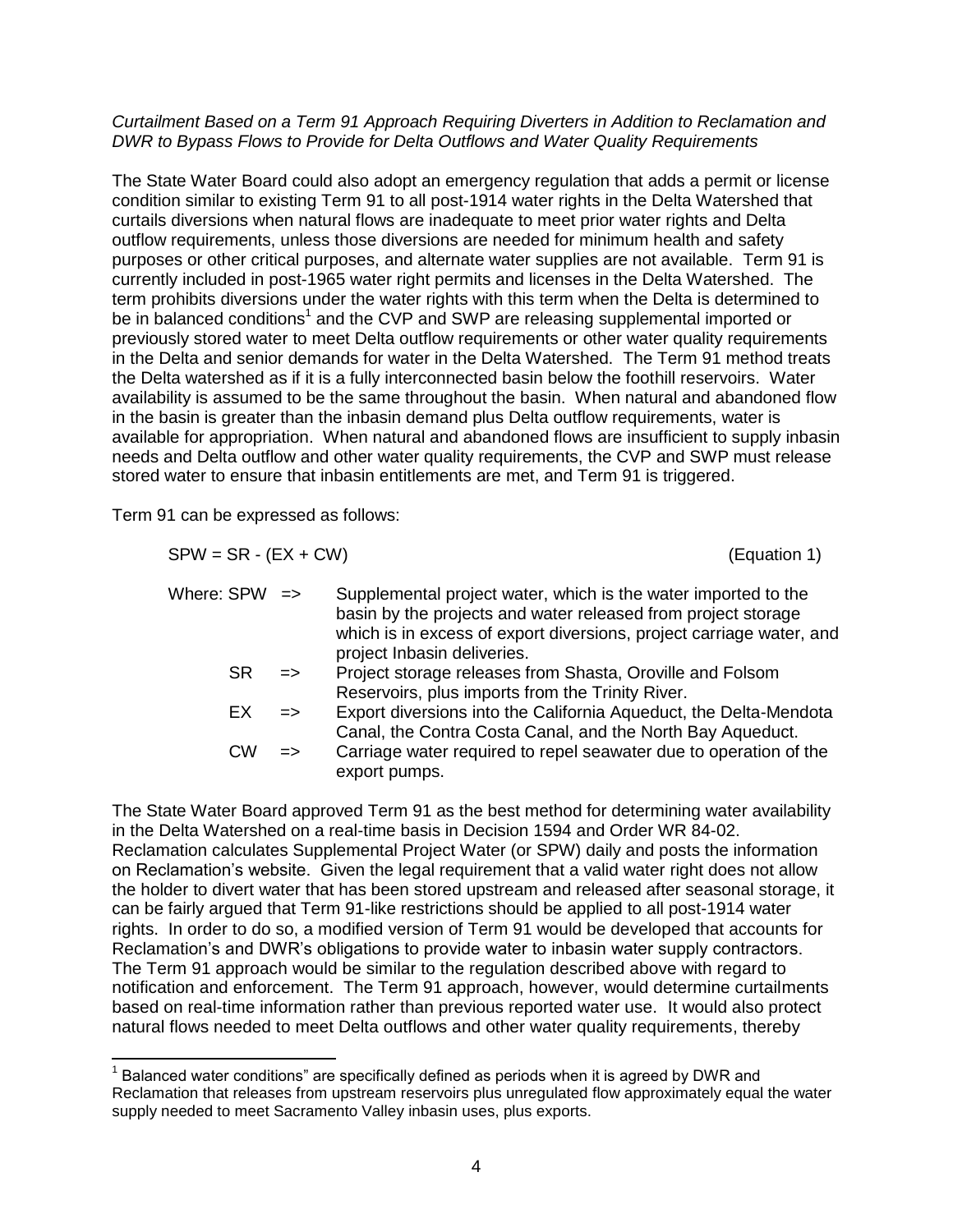#### *Curtailment Based on a Term 91 Approach Requiring Diverters in Addition to Reclamation and DWR to Bypass Flows to Provide for Delta Outflows and Water Quality Requirements*

The State Water Board could also adopt an emergency regulation that adds a permit or license condition similar to existing Term 91 to all post-1914 water rights in the Delta Watershed that curtails diversions when natural flows are inadequate to meet prior water rights and Delta outflow requirements, unless those diversions are needed for minimum health and safety purposes or other critical purposes, and alternate water supplies are not available. Term 91 is currently included in post-1965 water right permits and licenses in the Delta Watershed. The term prohibits diversions under the water rights with this term when the Delta is determined to be in balanced conditions<sup>1</sup> and the CVP and SWP are releasing supplemental imported or previously stored water to meet Delta outflow requirements or other water quality requirements in the Delta and senior demands for water in the Delta Watershed. The Term 91 method treats the Delta watershed as if it is a fully interconnected basin below the foothill reservoirs. Water availability is assumed to be the same throughout the basin. When natural and abandoned flow in the basin is greater than the inbasin demand plus Delta outflow requirements, water is available for appropriation. When natural and abandoned flows are insufficient to supply inbasin needs and Delta outflow and other water quality requirements, the CVP and SWP must release stored water to ensure that inbasin entitlements are met, and Term 91 is triggered.

Term 91 can be expressed as follows:

 $\overline{a}$ 

 $SPW = SR - (EX + CW)$  (Equation 1) Where: SPW  $\Rightarrow$  Supplemental project water, which is the water imported to the basin by the projects and water released from project storage which is in excess of export diversions, project carriage water, and project Inbasin deliveries. SR => Project storage releases from Shasta, Oroville and Folsom Reservoirs, plus imports from the Trinity River. EX => Export diversions into the California Aqueduct, the Delta-Mendota Canal, the Contra Costa Canal, and the North Bay Aqueduct. CW => Carriage water required to repel seawater due to operation of the export pumps.

The State Water Board approved Term 91 as the best method for determining water availability in the Delta Watershed on a real-time basis in Decision 1594 and Order WR 84-02. Reclamation calculates Supplemental Project Water (or SPW) daily and posts the information on Reclamation's website. Given the legal requirement that a valid water right does not allow the holder to divert water that has been stored upstream and released after seasonal storage, it can be fairly argued that Term 91-like restrictions should be applied to all post-1914 water rights. In order to do so, a modified version of Term 91 would be developed that accounts for Reclamation's and DWR's obligations to provide water to inbasin water supply contractors. The Term 91 approach would be similar to the regulation described above with regard to notification and enforcement. The Term 91 approach, however, would determine curtailments based on real-time information rather than previous reported water use. It would also protect natural flows needed to meet Delta outflows and other water quality requirements, thereby

 $1$  Balanced water conditions" are specifically defined as periods when it is agreed by DWR and Reclamation that releases from upstream reservoirs plus unregulated flow approximately equal the water supply needed to meet Sacramento Valley inbasin uses, plus exports.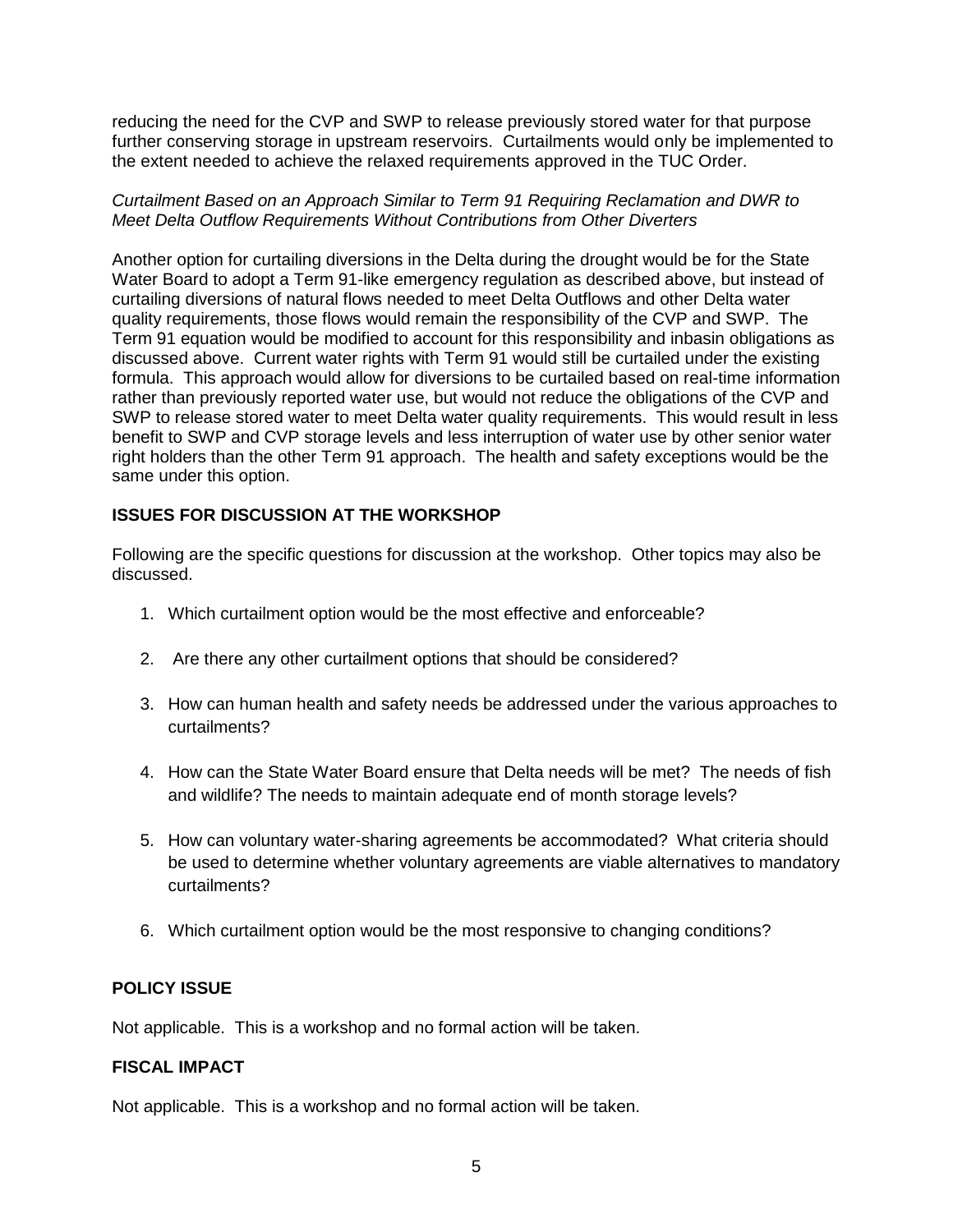reducing the need for the CVP and SWP to release previously stored water for that purpose further conserving storage in upstream reservoirs. Curtailments would only be implemented to the extent needed to achieve the relaxed requirements approved in the TUC Order.

## *Curtailment Based on an Approach Similar to Term 91 Requiring Reclamation and DWR to Meet Delta Outflow Requirements Without Contributions from Other Diverters*

Another option for curtailing diversions in the Delta during the drought would be for the State Water Board to adopt a Term 91-like emergency regulation as described above, but instead of curtailing diversions of natural flows needed to meet Delta Outflows and other Delta water quality requirements, those flows would remain the responsibility of the CVP and SWP. The Term 91 equation would be modified to account for this responsibility and inbasin obligations as discussed above. Current water rights with Term 91 would still be curtailed under the existing formula. This approach would allow for diversions to be curtailed based on real-time information rather than previously reported water use, but would not reduce the obligations of the CVP and SWP to release stored water to meet Delta water quality requirements. This would result in less benefit to SWP and CVP storage levels and less interruption of water use by other senior water right holders than the other Term 91 approach. The health and safety exceptions would be the same under this option.

# **ISSUES FOR DISCUSSION AT THE WORKSHOP**

Following are the specific questions for discussion at the workshop. Other topics may also be discussed.

- 1. Which curtailment option would be the most effective and enforceable?
- 2. Are there any other curtailment options that should be considered?
- 3. How can human health and safety needs be addressed under the various approaches to curtailments?
- 4. How can the State Water Board ensure that Delta needs will be met? The needs of fish and wildlife? The needs to maintain adequate end of month storage levels?
- 5. How can voluntary water-sharing agreements be accommodated? What criteria should be used to determine whether voluntary agreements are viable alternatives to mandatory curtailments?
- 6. Which curtailment option would be the most responsive to changing conditions?

# **POLICY ISSUE**

Not applicable. This is a workshop and no formal action will be taken.

# **FISCAL IMPACT**

Not applicable. This is a workshop and no formal action will be taken.